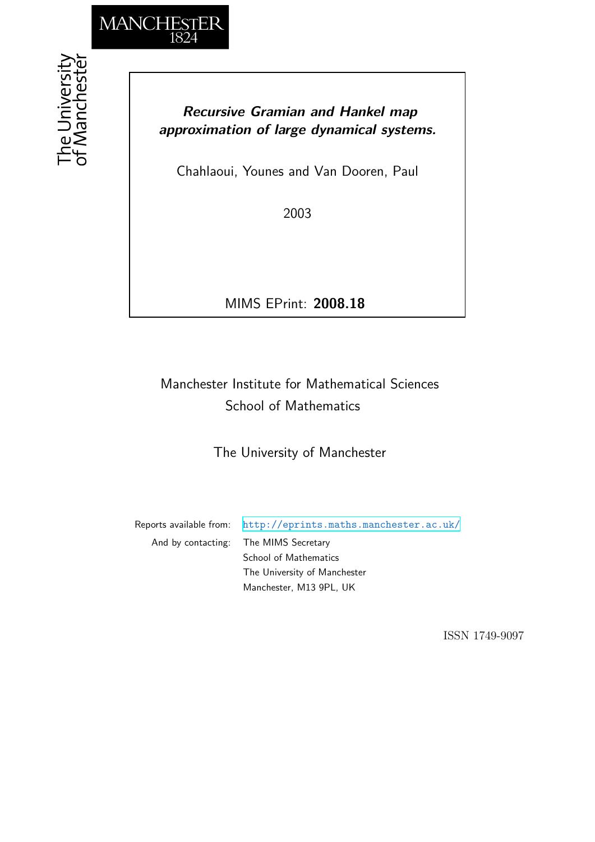

## *Recursive Gramian and Hankel map approximation of large dynamical systems.*

Chahlaoui, Younes and Van Dooren, Paul

2003

MIMS EPrint: **2008.18**

## Manchester Institute for Mathematical Sciences School of Mathematics

The University of Manchester

Reports available from: <http://eprints.maths.manchester.ac.uk/> And by contacting: The MIMS Secretary School of Mathematics The University of Manchester Manchester, M13 9PL, UK

ISSN 1749-9097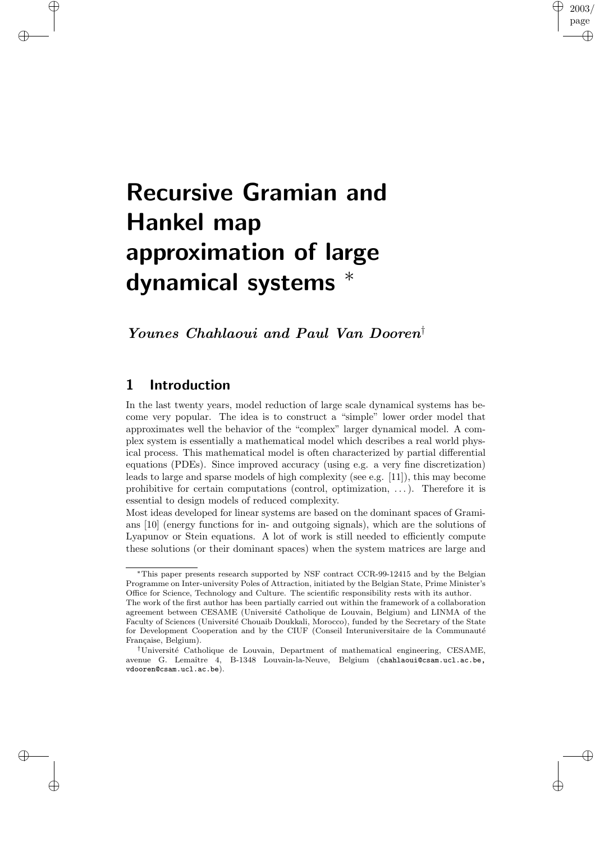# Recursive Gramian and Hankel map approximation of large dynamical systems <sup>∗</sup>

Younes Chahlaoui and Paul Van Dooren †

## 1 Introduction

✐

✐

✐

✐

In the last twenty years, model reduction of large scale dynamical systems has become very popular. The idea is to construct a "simple" lower order model that approximates well the behavior of the "complex" larger dynamical model. A complex system is essentially a mathematical model which describes a real world physical process. This mathematical model is often characterized by partial differential equations (PDEs). Since improved accuracy (using e.g. a very fine discretization) leads to large and sparse models of high complexity (see e.g. [11]), this may become prohibitive for certain computations (control, optimization, . . .). Therefore it is essential to design models of reduced complexity.

2003 page

✐

✐

✐

✐

Most ideas developed for linear systems are based on the dominant spaces of Gramians [10] (energy functions for in- and outgoing signals), which are the solutions of Lyapunov or Stein equations. A lot of work is still needed to efficiently compute these solutions (or their dominant spaces) when the system matrices are large and

<sup>∗</sup>This paper presents research supported by NSF contract CCR-99-12415 and by the Belgian Programme on Inter-university Poles of Attraction, initiated by the Belgian State, Prime Minister's Office for Science, Technology and Culture. The scientific responsibility rests with its author. The work of the first author has been partially carried out within the framework of a collaboration

agreement between CESAME (Université Catholique de Louvain, Belgium) and LINMA of the Faculty of Sciences (Université Chouaib Doukkali, Morocco), funded by the Secretary of the State for Development Cooperation and by the CIUF (Conseil Interuniversitaire de la Communauté Française, Belgium).

<sup>&</sup>lt;sup>†</sup>Université Catholique de Louvain, Department of mathematical engineering, CESAME, avenue G. Lemaˆıtre 4, B-1348 Louvain-la-Neuve, Belgium (chahlaoui@csam.ucl.ac.be, vdooren@csam.ucl.ac.be).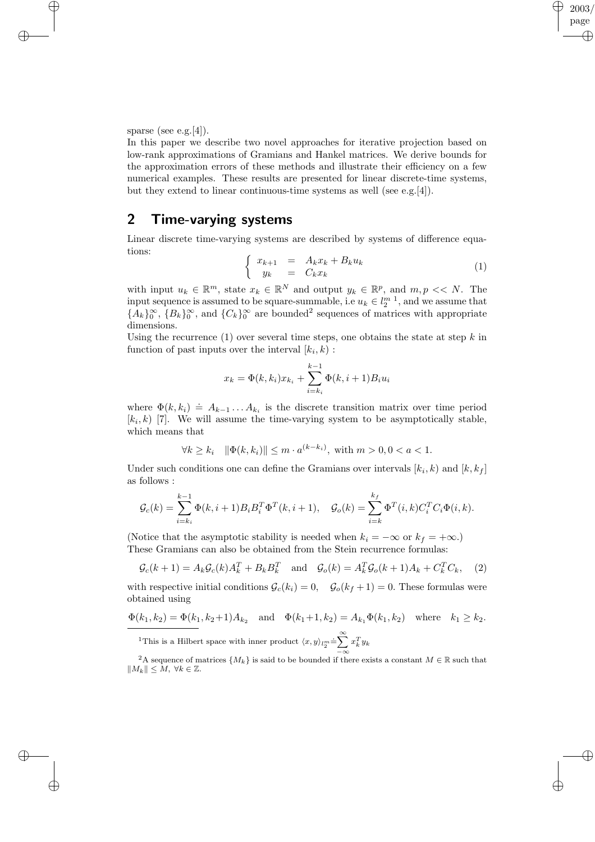sparse (see e.g.[4]).

✐

✐

 $\oplus$ 

 $\bigoplus$ 

In this paper we describe two novel approaches for iterative projection based on low-rank approximations of Gramians and Hankel matrices. We derive bounds for the approximation errors of these methods and illustrate their efficiency on a few numerical examples. These results are presented for linear discrete-time systems, but they extend to linear continuous-time systems as well (see e.g.[4]).

## 2 Time-varying systems

Linear discrete time-varying systems are described by systems of difference equations:

$$
\begin{cases}\nx_{k+1} = A_k x_k + B_k u_k \\
y_k = C_k x_k\n\end{cases} \tag{1}
$$

2003 page

✐

✐

✐

✐

with input  $u_k \in \mathbb{R}^m$ , state  $x_k \in \mathbb{R}^N$  and output  $y_k \in \mathbb{R}^p$ , and  $m, p \ll N$ . The input sequence is assumed to be square-summable, i.e  $u_k \in l_2^{m-1}$ , and we assume that  ${A_k}_0^{\infty}$ ,  ${B_k}_0^{\infty}$ , and  ${C_k}_0^{\infty}$  are bounded<sup>2</sup> sequences of matrices with appropriate dimensions.

Using the recurrence  $(1)$  over several time steps, one obtains the state at step k in function of past inputs over the interval  $[k_i, k]$ :

$$
x_k = \Phi(k, k_i)x_{k_i} + \sum_{i=k_i}^{k-1} \Phi(k, i+1)B_i u_i
$$

where  $\Phi(k, k_i) \doteq A_{k-1} \dots A_{k_i}$  is the discrete transition matrix over time period  $[k_i, k]$  [7]. We will assume the time-varying system to be asymptotically stable, which means that

$$
\forall k \ge k_i \quad \|\Phi(k, k_i)\| \le m \cdot a^{(k-k_i)}, \text{ with } m > 0, 0 < a < 1.
$$

Under such conditions one can define the Gramians over intervals  $[k_i, k_j]$  and  $[k, k_f]$ as follows :

$$
\mathcal{G}_c(k) = \sum_{i=k_i}^{k-1} \Phi(k, i+1) B_i B_i^T \Phi^T(k, i+1), \quad \mathcal{G}_o(k) = \sum_{i=k}^{k_f} \Phi^T(i, k) C_i^T C_i \Phi(i, k).
$$

(Notice that the asymptotic stability is needed when  $k_i = -\infty$  or  $k_f = +\infty$ .) These Gramians can also be obtained from the Stein recurrence formulas:

$$
\mathcal{G}_c(k+1) = A_k \mathcal{G}_c(k) A_k^T + B_k B_k^T \quad \text{and} \quad \mathcal{G}_o(k) = A_k^T \mathcal{G}_o(k+1) A_k + C_k^T C_k, \quad (2)
$$

with respective initial conditions  $\mathcal{G}_c(k_i) = 0$ ,  $\mathcal{G}_o(k_f + 1) = 0$ . These formulas were obtained using

$$
\Phi(k_1, k_2) = \Phi(k_1, k_2 + 1) A_{k_2} \text{ and } \Phi(k_1 + 1, k_2) = A_{k_1} \Phi(k_1, k_2) \text{ where } k_1 \ge k_2.
$$

<sup>1</sup>This is a Hilbert space with inner product  $\langle x, y \rangle_{l_2^m} \doteq \sum^{\infty}$ −∞  $x_k^Ty_k$ 

<sup>2</sup>A sequence of matrices  $\{M_k\}$  is said to be bounded if there exists a constant  $M \in \mathbb{R}$  such that  $||M_k|| \leq M, \ \forall k \in \mathbb{Z}.$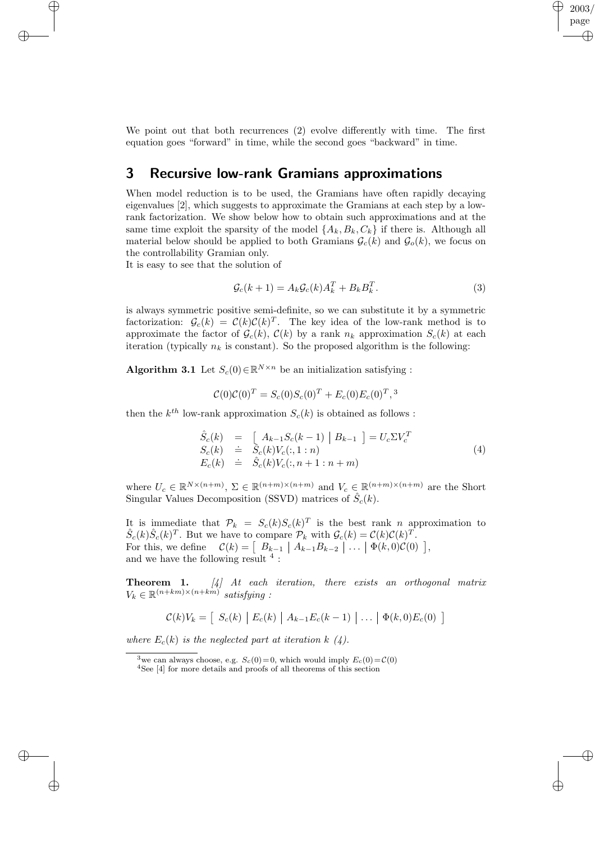We point out that both recurrences (2) evolve differently with time. The first equation goes "forward" in time, while the second goes "backward" in time.

## 3 Recursive low-rank Gramians approximations

When model reduction is to be used, the Gramians have often rapidly decaying eigenvalues [2], which suggests to approximate the Gramians at each step by a lowrank factorization. We show below how to obtain such approximations and at the same time exploit the sparsity of the model  $\{A_k, B_k, C_k\}$  if there is. Although all material below should be applied to both Gramians  $\mathcal{G}_c(k)$  and  $\mathcal{G}_o(k)$ , we focus on the controllability Gramian only.

It is easy to see that the solution of

✐

✐

✐

 $\bigoplus$ 

$$
\mathcal{G}_c(k+1) = A_k \mathcal{G}_c(k) A_k^T + B_k B_k^T. \tag{3}
$$

2003 page

✐

✐

✐

✐

is always symmetric positive semi-definite, so we can substitute it by a symmetric factorization:  $\mathcal{G}_c(k) = \mathcal{C}(k)\mathcal{C}(k)^T$ . The key idea of the low-rank method is to approximate the factor of  $\mathcal{G}_c(k)$ ,  $\mathcal{C}(k)$  by a rank  $n_k$  approximation  $S_c(k)$  at each iteration (typically  $n_k$  is constant). So the proposed algorithm is the following:

Algorithm 3.1 Let  $S_c(0) \in \mathbb{R}^{N \times n}$  be an initialization satisfying :

$$
\mathcal{C}(0)\mathcal{C}(0)^{T} = S_c(0)S_c(0)^{T} + E_c(0)E_c(0)^{T},^3
$$

then the  $k^{th}$  low-rank approximation  $S_c(k)$  is obtained as follows :

$$
\hat{S}_{c}(k) = [A_{k-1}S_{c}(k-1) | B_{k-1}] = U_{c}\Sigma V_{c}^{T} \nS_{c}(k) \doteq \hat{S}_{c}(k)V_{c}(:,1:n) \nE_{c}(k) \doteq \hat{S}_{c}(k)V_{c}(:,n+1:n+m)
$$
\n(4)

where  $U_c \in \mathbb{R}^{N \times (n+m)}$ ,  $\Sigma \in \mathbb{R}^{(n+m) \times (n+m)}$  and  $V_c \in \mathbb{R}^{(n+m) \times (n+m)}$  are the Short Singular Values Decomposition (SSVD) matrices of  $\hat{S}_c(k)$ .

It is immediate that  $\mathcal{P}_k = S_c(k)S_c(k)^T$  is the best rank n approximation to  $\hat{S}_c(k)\hat{S}_c(k)^T$ . But we have to compare  $\mathcal{P}_k$  with  $\mathcal{G}_c(k) = \mathcal{C}(k)\mathcal{C}(k)^T$ . For this, we define  $\mathcal{C}(k) = \begin{bmatrix} B_{k-1} \ A_{k-1}B_{k-2} \end{bmatrix} \dots \begin{bmatrix} \Phi(k,0)\mathcal{C}(0) \end{bmatrix}$ , and we have the following result  $^4$  :

**Theorem 1.** [4] At each iteration, there exists an orthogonal matrix  $V_k \in \mathbb{R}^{(n+km)\times(n+km)}$  satisfying :

$$
\mathcal{C}(k)V_k = \left[ S_c(k) | E_c(k) | A_{k-1}E_c(k-1) | \ldots | \Phi(k,0)E_c(0) \right]
$$

where  $E_c(k)$  is the neglected part at iteration k (4).

<sup>&</sup>lt;sup>3</sup>we can always choose, e.g.  $S_c(0)=0$ , which would imply  $E_c(0)=C(0)$ 

<sup>4</sup>See [4] for more details and proofs of all theorems of this section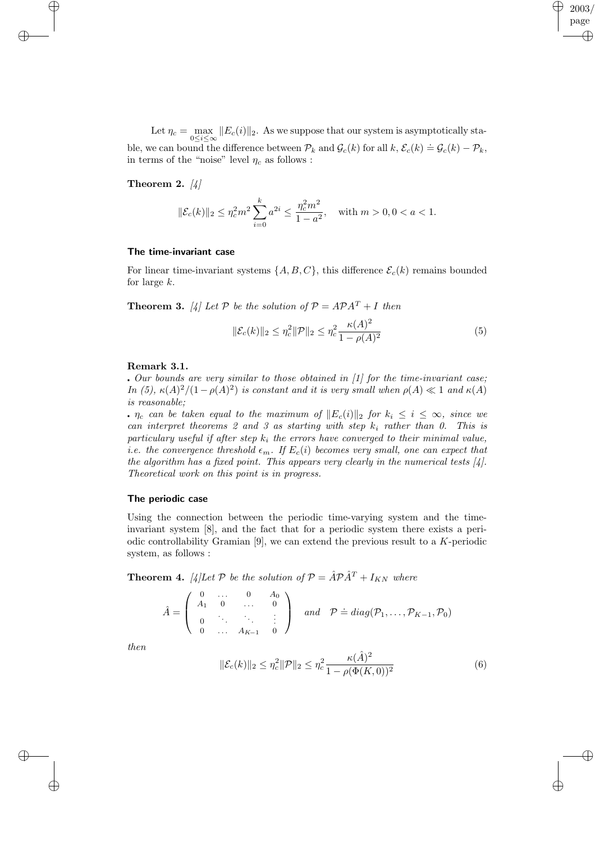Let  $\eta_c = \max_{0 \le i \le \infty} ||E_c(i)||_2$ . As we suppose that our system is asymptotically stable, we can bound the difference between  $\mathcal{P}_k$  and  $\mathcal{G}_c(k)$  for all  $k, \mathcal{E}_c(k) \doteq \mathcal{G}_c(k) - \mathcal{P}_k$ , in terms of the "noise" level  $\eta_c$  as follows :

#### Theorem 2.  $[4]$

✐

 $\bigoplus$ 

$$
\|\mathcal{E}_c(k)\|_2 \leq \eta_c^2 m^2 \sum_{i=0}^k a^{2i} \leq \frac{\eta_c^2 m^2}{1-a^2}, \quad \text{with } m > 0, 0 < a < 1.
$$

#### The time-invariant case

For linear time-invariant systems  $\{A, B, C\}$ , this difference  $\mathcal{E}_c(k)$  remains bounded for large k.

**Theorem 3.** [4] Let P be the solution of  $P = APA^{T} + I$  then

$$
\|\mathcal{E}_c(k)\|_2 \le \eta_c^2 \|\mathcal{P}\|_2 \le \eta_c^2 \frac{\kappa(A)^2}{1 - \rho(A)^2} \tag{5}
$$

2003 page

✐

✐

✐

✐

#### Remark 3.1.

. Our bounds are very similar to those obtained in  $[1]$  for the time-invariant case; In (5),  $\kappa(A)^2/(1-\rho(A)^2)$  is constant and it is very small when  $\rho(A) \ll 1$  and  $\kappa(A)$ is reasonable;

 $n_c$  can be taken equal to the maximum of  $||E_c(i)||_2$  for  $k_i \leq i \leq \infty$ , since we can interpret theorems 2 and 3 as starting with step  $k_i$  rather than 0. This is particulary useful if after step  $k_i$  the errors have converged to their minimal value, *i.e.* the convergence threshold  $\epsilon_m$ . If  $E_c(i)$  becomes very small, one can expect that the algorithm has a fixed point. This appears very clearly in the numerical tests  $[4]$ . Theoretical work on this point is in progress.

#### The periodic case

Using the connection between the periodic time-varying system and the timeinvariant system [8], and the fact that for a periodic system there exists a periodic controllability Gramian  $[9]$ , we can extend the previous result to a K-periodic system, as follows :

**Theorem 4.** [4]Let P be the solution of  $P = \hat{A}P\hat{A}^T + I_{KN}$  where

$$
\hat{A} = \left( \begin{array}{cccc} 0 & \dots & 0 & A_0 \\ A_1 & 0 & \dots & 0 \\ 0 & \ddots & \ddots & \vdots \\ 0 & \dots & A_{K-1} & 0 \end{array} \right) \quad and \quad \mathcal{P} \doteq diag(\mathcal{P}_1, \dots, \mathcal{P}_{K-1}, \mathcal{P}_0)
$$

then

✐

✐

$$
\|\mathcal{E}_c(k)\|_2 \le \eta_c^2 \|\mathcal{P}\|_2 \le \eta_c^2 \frac{\kappa(\hat{A})^2}{1 - \rho(\Phi(K, 0))^2}
$$
(6)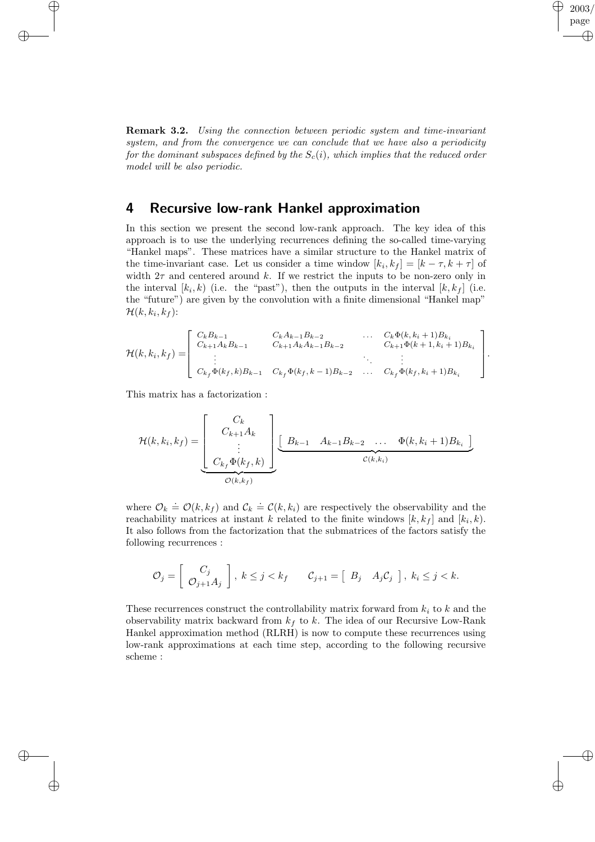Remark 3.2. Using the connection between periodic system and time-invariant system, and from the convergence we can conclude that we have also a periodicity for the dominant subspaces defined by the  $S<sub>c</sub>(i)$ , which implies that the reduced order model will be also periodic.

2003 page

✐

.

✐

✐

✐

### 4 Recursive low-rank Hankel approximation

In this section we present the second low-rank approach. The key idea of this approach is to use the underlying recurrences defining the so-called time-varying "Hankel maps". These matrices have a similar structure to the Hankel matrix of the time-invariant case. Let us consider a time window  $[k_i, k_f] = [k - \tau, k + \tau]$  of width  $2\tau$  and centered around k. If we restrict the inputs to be non-zero only in the interval  $[k_i, k)$  (i.e. the "past"), then the outputs in the interval  $[k, k_f]$  (i.e. the "future") are given by the convolution with a finite dimensional "Hankel map"  $\mathcal{H}(k,k_i,k_f)$ :

$$
\mathcal{H}(k,k_i,k_f) = \begin{bmatrix} C_k B_{k-1} & C_k A_{k-1} B_{k-2} & \dots & C_k \Phi(k,k_i+1) B_{k_i} \\ C_{k+1} A_k B_{k-1} & C_{k+1} A_k A_{k-1} B_{k-2} & C_{k+1} \Phi(k+1,k_i+1) B_{k_i} \\ \vdots & \vdots & \ddots & \vdots \\ C_{k_f} \Phi(k_f,k) B_{k-1} & C_{k_f} \Phi(k_f,k-1) B_{k-2} & \dots & C_{k_f} \Phi(k_f,k_i+1) B_{k_i} \end{bmatrix}
$$

This matrix has a factorization :

✐

✐

✐

✐

$$
\mathcal{H}(k, k_i, k_f) = \underbrace{\begin{bmatrix} C_k \\ C_{k+1} A_k \\ \vdots \\ C_{k_f} \Phi(k_f, k) \end{bmatrix}}_{\mathcal{O}(k, k_f)} \underbrace{\begin{bmatrix} B_{k-1} & A_{k-1} B_{k-2} & \dots & \Phi(k, k_i+1) B_{k_i} \end{bmatrix}}_{\mathcal{O}(k, k_f)}
$$

where  $\mathcal{O}_k \doteq \mathcal{O}(k, k_f)$  and  $\mathcal{C}_k \doteq \mathcal{C}(k, k_i)$  are respectively the observability and the reachability matrices at instant k related to the finite windows  $[k, k_f]$  and  $[k_i, k]$ . It also follows from the factorization that the submatrices of the factors satisfy the following recurrences :

$$
\mathcal{O}_j = \left[ \begin{array}{c} C_j \\ \mathcal{O}_{j+1} A_j \end{array} \right], \ k \leq j < k_f \qquad \mathcal{C}_{j+1} = \left[ \begin{array}{cc} B_j & A_j \mathcal{C}_j \end{array} \right], \ k_i \leq j < k.
$$

These recurrences construct the controllability matrix forward from  $k_i$  to k and the observability matrix backward from  $k_f$  to k. The idea of our Recursive Low-Rank Hankel approximation method (RLRH) is now to compute these recurrences using low-rank approximations at each time step, according to the following recursive scheme :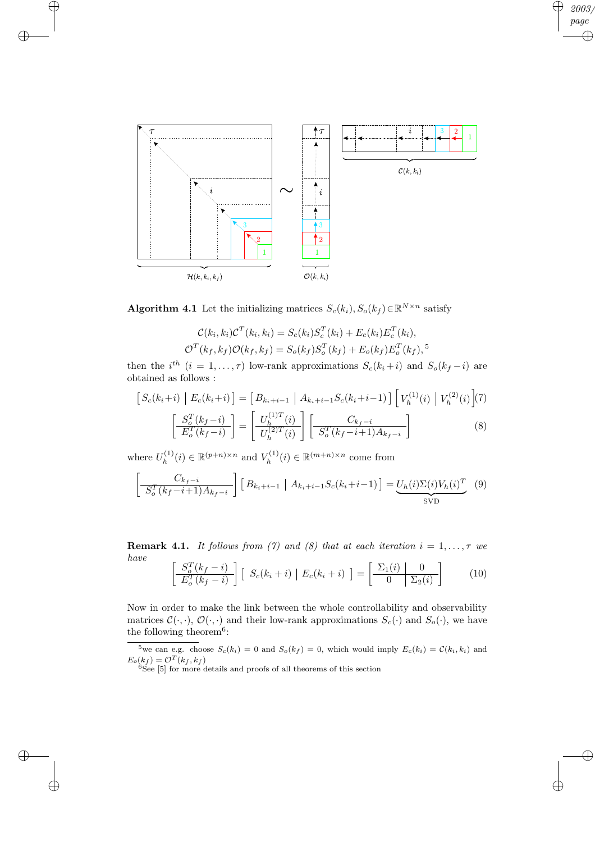

✐

✐

 $\bigoplus$ 

 $\bigoplus$ 

2003 page

✐

✐

 $\oplus$ 

 $\oplus$ 

Algorithm 4.1 Let the initializing matrices  $S_c(k_i)$ ,  $S_o(k_f) \in \mathbb{R}^{N \times n}$  satisfy

$$
\mathcal{C}(k_i, k_i)\mathcal{C}^T(k_i, k_i) = S_c(k_i)S_c^T(k_i) + E_c(k_i)E_c^T(k_i),
$$
  

$$
\mathcal{O}^T(k_f, k_f)\mathcal{O}(k_f, k_f) = S_o(k_f)S_o^T(k_f) + E_o(k_f)E_o^T(k_f),
$$

then the  $i^{th}$   $(i = 1, ..., \tau)$  low-rank approximations  $S_c(k_i + i)$  and  $S_o(k_f - i)$  are obtained as follows :

$$
\begin{aligned}\n\left[S_c(k_i+i)\mid E_c(k_i+i)\right] &= \left[B_{k_i+i-1}\mid A_{k_i+i-1}S_c(k_i+i-1)\right] \left[V_h^{(1)}(i)\mid V_h^{(2)}(i)\right] \\
\left[\frac{S_c^T(k_f-i)}{E_c^T(k_f-i)}\right] &= \left[\frac{U_h^{(1)T}(i)}{U_h^{(2)T}(i)}\right] \left[\frac{C_{k_f-i}}{S_c^T(k_f-i+1)A_{k_f-i}}\right]\n\end{aligned} \tag{8}
$$

where  $U_h^{(1)}$  $h_h^{(1)}(i) \in \mathbb{R}^{(p+n)\times n}$  and  $V_h^{(1)}$  $h^{(1)}(i) \in \mathbb{R}^{(m+n)\times n}$  come from

$$
\left[\frac{C_{k_f-i}}{S_o^T(k_f-i+1)A_{k_f-i}}\right] \left[B_{k_i+i-1} \mid A_{k_i+i-1} S_c(k_i+i-1)\right] = \underbrace{U_h(i)\Sigma(i)V_h(i)^T}_{\text{SVD}} \tag{9}
$$

**Remark 4.1.** It follows from (7) and (8) that at each iteration  $i = 1, \ldots, \tau$  we have  $\mathbf{r}$  $\tilde{\sigma}$  $\overline{a}$  $\mathbf{r}$  $\overline{1}$ 

$$
\left[ \frac{S_o^T(k_f - i)}{E_o^T(k_f - i)} \right] \left[ S_c(k_i + i) \right] E_c(k_i + i) \right] = \left[ \frac{\Sigma_1(i)}{0} \frac{0}{\Sigma_2(i)} \right] \tag{10}
$$

Now in order to make the link between the whole controllability and observability matrices  $\mathcal{C}(\cdot, \cdot)$ ,  $\mathcal{O}(\cdot, \cdot)$  and their low-rank approximations  $S_c(\cdot)$  and  $S_o(\cdot)$ , we have the following theorem<sup>6</sup>:

<sup>5</sup>we can e.g. choose  $S_c(k_i) = 0$  and  $S_o(k_f) = 0$ , which would imply  $E_c(k_i) = C(k_i, k_i)$  and  $E_o(k_f) = \mathcal{O}^T(k_f, k_f)$ 

 $6$ See [5] for more details and proofs of all theorems of this section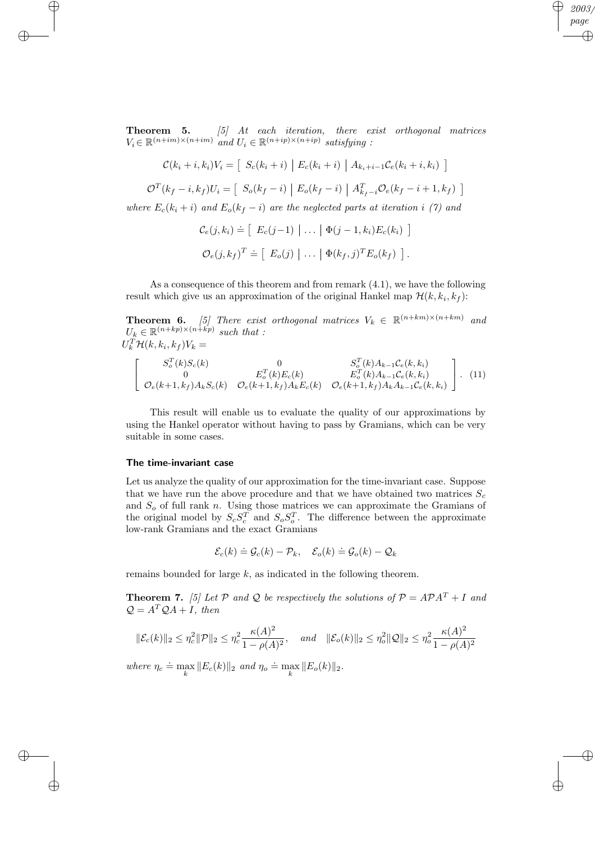**Theorem 5.** [5] At each iteration, there exist orthogonal matrices  $V_i \in \mathbb{R}^{(n+im)\times(n+im)}$  and  $U_i \in \mathbb{R}^{(n+ip)\times(n+ip)}$  satisfying :

2003 page

✐

✐

 $\oplus$ 

✐

$$
\mathcal{C}(k_i + i, k_i)V_i = \left[ S_c(k_i + i) \middle| E_c(k_i + i) \middle| A_{k_i + i - 1} \mathcal{C}_e(k_i + i, k_i) \right]
$$

$$
\mathcal{O}^{T}(k_f-i,k_f)U_i = \left[\ S_o(k_f-i) \Big| E_o(k_f-i) \Big| A_{k_f-i}^{T} \mathcal{O}_e(k_f-i+1,k_f) \right]
$$

where  $E_c(k_i + i)$  and  $E_o(k_f - i)$  are the neglected parts at iteration i (7) and

$$
\mathcal{C}_e(j,k_i) \doteq \left[ E_c(j-1) \mid \dots \mid \Phi(j-1,k_i) E_c(k_i) \right]
$$
  

$$
\mathcal{O}_e(j,k_f)^T \doteq \left[ E_o(j) \mid \dots \mid \Phi(k_f,j)^T E_o(k_f) \right].
$$

As a consequence of this theorem and from remark (4.1), we have the following result which give us an approximation of the original Hankel map  $\mathcal{H}(k, k_i, k_f)$ :

**Theorem 6.** [5] There exist orthogonal matrices  $V_k \in \mathbb{R}^{(n+km)\times(n+km)}$  and  $U_k \in \mathbb{R}^{(n+kp)\times(n+kp)}$  such that :  $U_k^T \mathcal{H}(k, k_i, k_f) V_k =$ 

$$
\begin{bmatrix}\nS_o^T(k)S_c(k) & 0 & S_o^T(k)A_{k-1}C_e(k, k_i) \\
0 & E_o^T(k)E_c(k) & E_o^T(k)A_{k-1}C_e(k, k_i) \\
\mathcal{O}_e(k+1, k_f)A_kS_c(k) & \mathcal{O}_e(k+1, k_f)A_kE_c(k) & \mathcal{O}_e(k+1, k_f)A_kA_{k-1}C_e(k, k_i)\n\end{bmatrix}.
$$
\n(11)

This result will enable us to evaluate the quality of our approximations by using the Hankel operator without having to pass by Gramians, which can be very suitable in some cases.

#### The time-invariant case

✐

✐

 $\oplus$ 

 $\bigoplus$ 

Let us analyze the quality of our approximation for the time-invariant case. Suppose that we have run the above procedure and that we have obtained two matrices  $S_c$ and  $S<sub>o</sub>$  of full rank n. Using those matrices we can approximate the Gramians of the original model by  $S_c S_c^T$  and  $S_o S_o^T$ . The difference between the approximate low-rank Gramians and the exact Gramians

$$
\mathcal{E}_c(k) \doteq \mathcal{G}_c(k) - \mathcal{P}_k, \quad \mathcal{E}_o(k) \doteq \mathcal{G}_o(k) - \mathcal{Q}_k
$$

remains bounded for large k, as indicated in the following theorem.

**Theorem 7.** [5] Let P and Q be respectively the solutions of  $P = APA<sup>T</sup> + I$  and  $Q = A^T Q A + I$ , then

$$
\|\mathcal{E}_c(k)\|_2 \le \eta_c^2 \|\mathcal{P}\|_2 \le \eta_c^2 \frac{\kappa(A)^2}{1 - \rho(A)^2}, \quad \text{and} \quad \|\mathcal{E}_o(k)\|_2 \le \eta_o^2 \|\mathcal{Q}\|_2 \le \eta_o^2 \frac{\kappa(A)^2}{1 - \rho(A)^2}
$$

where  $\eta_c \doteq \max_k ||E_c(k)||_2$  and  $\eta_o \doteq \max_k ||E_o(k)||_2$ .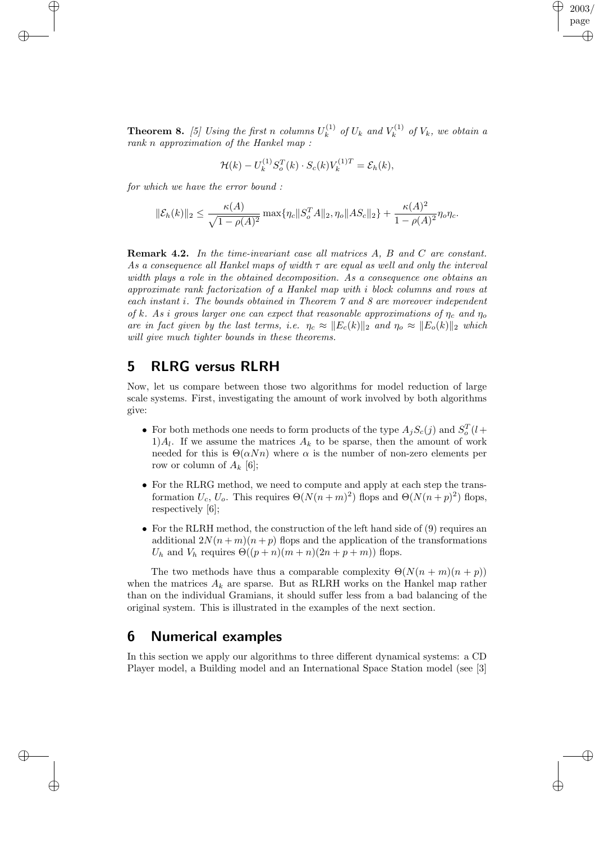**Theorem 8.** [5] Using the first n columns  $U_k^{(1)}$  $k^{(1)}$  of  $U_k$  and  $V_k^{(1)}$  $\mathcal{U}_k^{(1)}$  of  $V_k$ , we obtain a rank n approximation of the Hankel map :

2003 page

✐

✐

✐

✐

$$
\mathcal{H}(k) - U_k^{(1)} S_o^T(k) \cdot S_c(k) V_k^{(1)T} = \mathcal{E}_h(k),
$$

for which we have the error bound :

✐

✐

 $\oplus$ 

 $\bigoplus$ 

$$
\|\mathcal{E}_h(k)\|_2 \le \frac{\kappa(A)}{\sqrt{1-\rho(A)^2}} \max\{\eta_c \|S_o^T A\|_2, \eta_o \|AS_c\|_2\} + \frac{\kappa(A)^2}{1-\rho(A)^2} \eta_o \eta_c.
$$

**Remark 4.2.** In the time-invariant case all matrices A, B and C are constant. As a consequence all Hankel maps of width  $\tau$  are equal as well and only the interval width plays a role in the obtained decomposition. As a consequence one obtains an approximate rank factorization of a Hankel map with i block columns and rows at each instant i. The bounds obtained in Theorem 7 and 8 are moreover independent of k. As i grows larger one can expect that reasonable approximations of  $\eta_c$  and  $\eta_o$ are in fact given by the last terms, i.e.  $\eta_c \approx ||E_c(k)||_2$  and  $\eta_o \approx ||E_o(k)||_2$  which will give much tighter bounds in these theorems.

## 5 RLRG versus RLRH

Now, let us compare between those two algorithms for model reduction of large scale systems. First, investigating the amount of work involved by both algorithms give:

- For both methods one needs to form products of the type  $A_j S_c(j)$  and  $S_c^T(l+$  $1)A_l$ . If we assume the matrices  $A_k$  to be sparse, then the amount of work needed for this is  $\Theta(\alpha Nn)$  where  $\alpha$  is the number of non-zero elements per row or column of  $A_k$  [6];
- For the RLRG method, we need to compute and apply at each step the transformation  $U_c$ ,  $U_o$ . This requires  $\Theta(N(n+m)^2)$  flops and  $\Theta(N(n+p)^2)$  flops, respectively [6];
- For the RLRH method, the construction of the left hand side of (9) requires an additional  $2N(n+m)(n+p)$  flops and the application of the transformations  $U_h$  and  $V_h$  requires  $\Theta((p+n)(m+n)(2n+p+m))$  flops.

The two methods have thus a comparable complexity  $\Theta(N(n+m)(n+p))$ when the matrices  $A_k$  are sparse. But as RLRH works on the Hankel map rather than on the individual Gramians, it should suffer less from a bad balancing of the original system. This is illustrated in the examples of the next section.

### 6 Numerical examples

In this section we apply our algorithms to three different dynamical systems: a CD Player model, a Building model and an International Space Station model (see [3]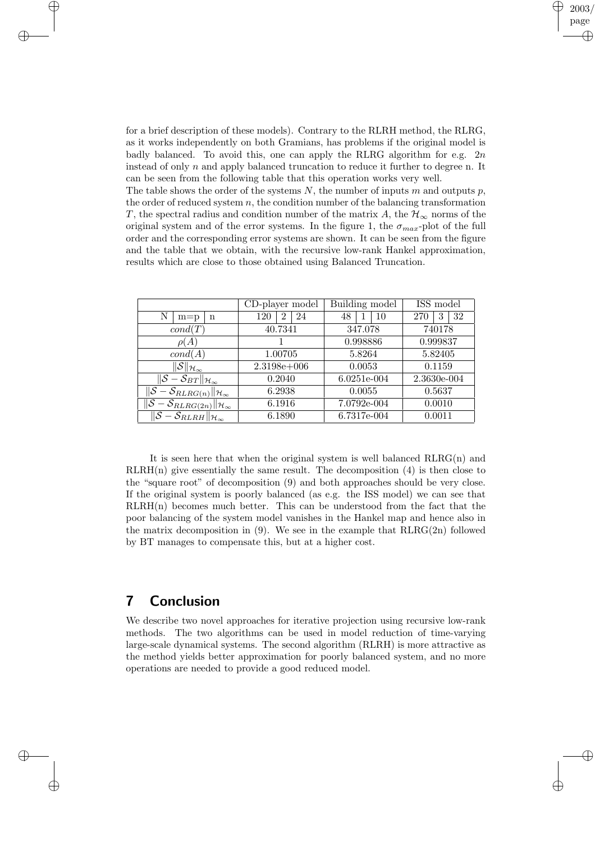for a brief description of these models). Contrary to the RLRH method, the RLRG, as it works independently on both Gramians, has problems if the original model is badly balanced. To avoid this, one can apply the RLRG algorithm for e.g.  $2n$ instead of only  $n$  and apply balanced truncation to reduce it further to degree n. It can be seen from the following table that this operation works very well.

2003/3/13 page

✐

✐

✐

✐

The table shows the order of the systems  $N$ , the number of inputs  $m$  and outputs  $p$ , the order of reduced system  $n$ , the condition number of the balancing transformation T, the spectral radius and condition number of the matrix A, the  $\mathcal{H}_{\infty}$  norms of the original system and of the error systems. In the figure 1, the  $\sigma_{max}$ -plot of the full order and the corresponding error systems are shown. It can be seen from the figure and the table that we obtain, with the recursive low-rank Hankel approximation, results which are close to those obtained using Balanced Truncation.

|                                                                                        | CD-player model              | Building model | ISS model   |
|----------------------------------------------------------------------------------------|------------------------------|----------------|-------------|
| Ν<br>$m=p$<br>n                                                                        | -24<br>120<br>$\overline{2}$ | 48<br>-10      | -32<br>270  |
| cond(T)                                                                                | 40.7341                      | 347.078        | 740178      |
| $\rho(A)$                                                                              |                              | 0.998886       | 0.999837    |
| cond(A)                                                                                | 1.00705                      | 5.8264         | 5.82405     |
| $\ \overline{\mathcal{S}}\ _{\mathcal{H}_\infty}$                                      | $2.3198e+006$                | 0.0053         | 0.1159      |
| $\overline{\ \mathcal{S}-\mathcal{S}_{BT}\ _{\mathcal{H}_{\infty}}}$                   | 0.2040                       | 6.0251e-004    | 2.3630e-004 |
| $\ \mathcal{S}-\mathcal{S}_{RLRG(n)}\ _{\mathcal{H}_{\infty}}$                         | 6.2938                       | 0.0055         | 0.5637      |
| $\ \overline{\mathcal{S}}-\mathcal{S}_{RLRG(\underline{2n})}\ _{\mathcal{H}_{\infty}}$ | 6.1916                       | $7.0792e-004$  | 0.0010      |
| $\ \overline{\mathcal{S}}-\mathcal{S}_{RLRH}\ _{\mathcal{H}_\infty}$                   | 6.1890                       | 6.7317e-004    | 0.0011      |

It is seen here that when the original system is well balanced  $RLRG(n)$  and  $RLRH(n)$  give essentially the same result. The decomposition  $(4)$  is then close to the "square root" of decomposition (9) and both approaches should be very close. If the original system is poorly balanced (as e.g. the ISS model) we can see that  $RLRH(n)$  becomes much better. This can be understood from the fact that the poor balancing of the system model vanishes in the Hankel map and hence also in the matrix decomposition in  $(9)$ . We see in the example that  $RLRG(2n)$  followed by BT manages to compensate this, but at a higher cost.

## 7 Conclusion

✐

✐

 $\bigoplus$ 

✐

We describe two novel approaches for iterative projection using recursive low-rank methods. The two algorithms can be used in model reduction of time-varying large-scale dynamical systems. The second algorithm (RLRH) is more attractive as the method yields better approximation for poorly balanced system, and no more operations are needed to provide a good reduced model.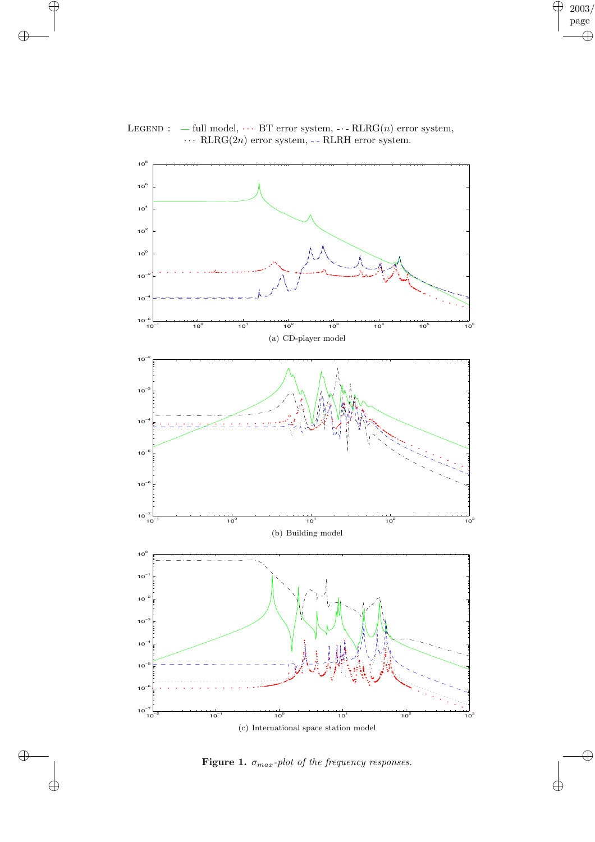

#### LEGEND :  $-$  full model,  $\cdots$  BT error system,  $\cdots$  RLRG(n) error system,  $\cdots$  RLRG(2*n*) error system, - - RLRH error system.

 $\bigoplus$ 

 $\bigoplus$ 

 $\bigoplus$ 

 $\bigoplus$ 

 $2003/$ page

 $\bigoplus$ 

 $\overline{\mathbb{G}}$ 

 $\overline{\bigoplus}$ 

 $\bigoplus$ 

Figure 1.  $\sigma_{max}$ -plot of the frequency responses.